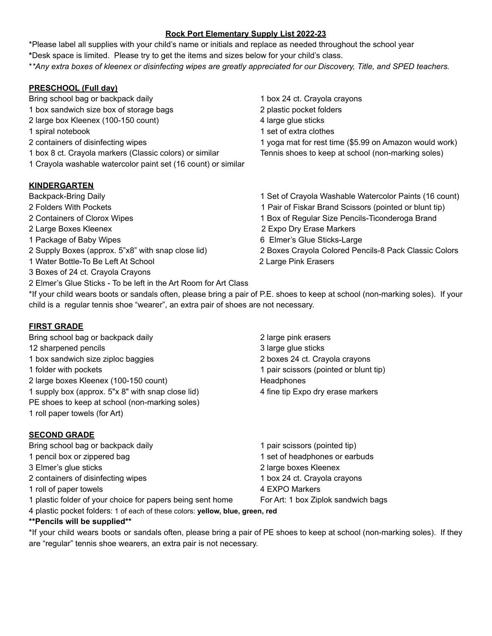## **Rock Port Elementary Supply List 2022-23**

\*Please label all supplies with your child's name or initials and replace as needed throughout the school year **\***Desk space is limited. Please try to get the items and sizes below for your child's class. \*\*Any extra boxes of kleenex or disinfecting wipes are greatly appreciated for our Discovery, Title, and SPED teachers.

## **PRESCHOOL (Full day)**

- Bring school bag or backpack daily 1 box 24 ct. Crayola crayons
- 1 box sandwich size box of storage bags 2 plastic pocket folders
- 2 large box Kleenex (100-150 count) 4 large glue sticks
- 
- 
- 1 box 8 ct. Crayola markers (Classic colors) or similar Tennis shoes to keep at school (non-marking soles)
- 1 Crayola washable watercolor paint set (16 count) or similar

# **KINDERGARTEN**

- 
- 
- 
- 
- 
- 
- 1 Water Bottle-To Be Left At School 2 Large Pink Erasers
- 3 Boxes of 24 ct. Crayola Crayons
- 2 Elmer's Glue Sticks To be left in the Art Room for Art Class
- 
- 
- 
- 1 spiral notebook 1 set of extra clothes
- 2 containers of disinfecting wipes 1 yoga mat for rest time (\$5.99 on Amazon would work)
- Backpack-Bring Daily 1 Set of Crayola Washable Watercolor Paints (16 count)
- 2 Folders With Pockets 1 Pair of Fiskar Brand Scissors (pointed or blunt tip)
- 2 Containers of Clorox Wipes 1 Box of Regular Size Pencils-Ticonderoga Brand
- 2 Large Boxes Kleenex 2 Expo Dry Erase Markers
- 1 Package of Baby Wipes 6 Elmer's Glue Sticks-Large
- 2 Supply Boxes (approx. 5"x8" with snap close lid) 2 Boxes Crayola Colored Pencils-8 Pack Classic Colors

\*If your child wears boots or sandals often, please bring a pair of P.E. shoes to keep at school (non-marking soles). If your child is a regular tennis shoe "wearer", an extra pair of shoes are not necessary.

### **FIRST GRADE**

Bring school bag or backpack daily **2** large pink erasers 12 sharpened pencils **3** large glue sticks 1 box sandwich size ziploc baggies 2 boxes 24 ct. Crayola crayons 1 folder with pockets 1 pair scissors (pointed or blunt tip) 2 large boxes Kleenex (100-150 count) Headphones 1 supply box (approx. 5"x 8" with snap close lid) 4 fine tip Expo dry erase markers PE shoes to keep at school (non-marking soles) 1 roll paper towels (for Art)

### **SECOND GRADE**

1 pencil box or zippered bag 1 set of headphones or earbuds 3 Elmer's glue sticks 2 large boxes Kleenex 2 containers of disinfecting wipes 1 box 24 ct. Crayola crayons 1 roll of paper towels 4 EXPO Markers

- 
- 
- 4 plastic pocket folders: 1 of each of these colors: **yellow, blue, green, red**

#### **\*\*Pencils will be supplied\*\***

\*If your child wears boots or sandals often, please bring a pair of PE shoes to keep at school (non-marking soles). If they are "regular" tennis shoe wearers, an extra pair is not necessary.

- Bring school bag or backpack daily 1 pair scissors (pointed tip)
	- -
- 1 plastic folder of your choice for papers being sent home For Art: 1 box Ziplok sandwich bags